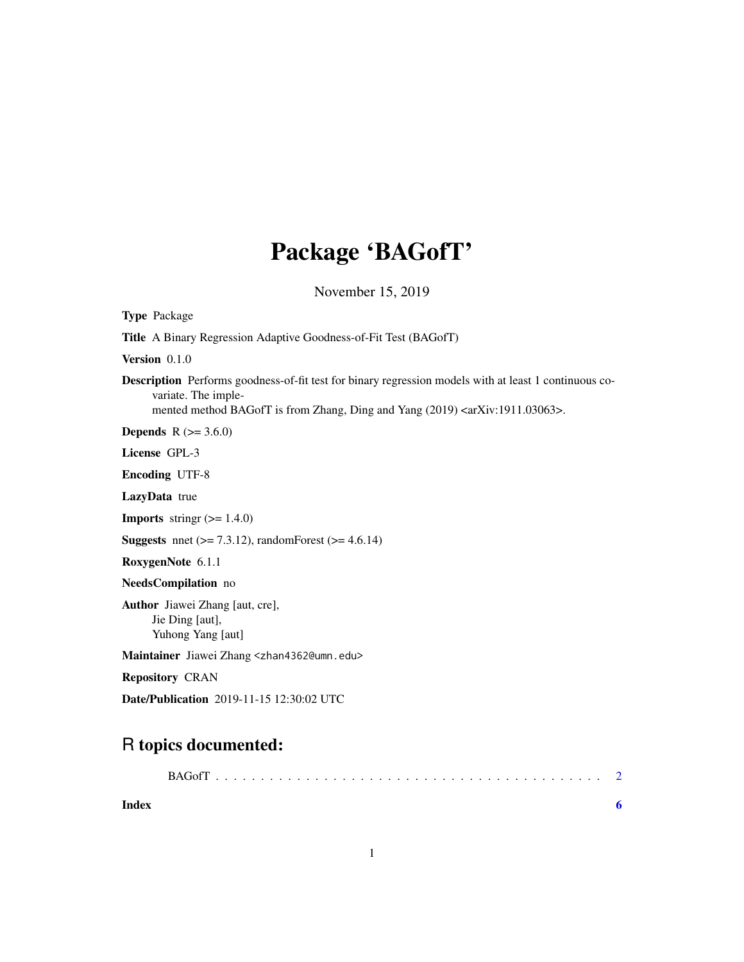## Package 'BAGofT'

November 15, 2019

<span id="page-0-0"></span>

| <b>Type Package</b>                                                                                                                                                                                                                    |
|----------------------------------------------------------------------------------------------------------------------------------------------------------------------------------------------------------------------------------------|
| <b>Title</b> A Binary Regression Adaptive Goodness-of-Fit Test (BAGofT)                                                                                                                                                                |
| Version $0.1.0$                                                                                                                                                                                                                        |
| <b>Description</b> Performs goodness-of-fit test for binary regression models with at least 1 continuous co-<br>variate. The imple-<br>mented method BAGofT is from Zhang, Ding and Yang (2019) <arxiv:1911.03063>.</arxiv:1911.03063> |
| <b>Depends</b> $R (= 3.6.0)$                                                                                                                                                                                                           |
| License GPL-3                                                                                                                                                                                                                          |
| <b>Encoding UTF-8</b>                                                                                                                                                                                                                  |
| LazyData true                                                                                                                                                                                                                          |
| <b>Imports</b> string $(>= 1.4.0)$                                                                                                                                                                                                     |
| <b>Suggests</b> nnet ( $> = 7.3.12$ ), randomForest ( $> = 4.6.14$ )                                                                                                                                                                   |
| RoxygenNote 6.1.1                                                                                                                                                                                                                      |
| NeedsCompilation no                                                                                                                                                                                                                    |
| <b>Author</b> Jiawei Zhang [aut, cre],<br>Jie Ding [aut],<br>Yuhong Yang [aut]                                                                                                                                                         |
| Maintainer Jiawei Zhang <zhan4362@umn.edu></zhan4362@umn.edu>                                                                                                                                                                          |
| <b>Repository CRAN</b>                                                                                                                                                                                                                 |
| Date/Publication 2019-11-15 12:30:02 UTC                                                                                                                                                                                               |

### R topics documented:

| Index |  | 6 |
|-------|--|---|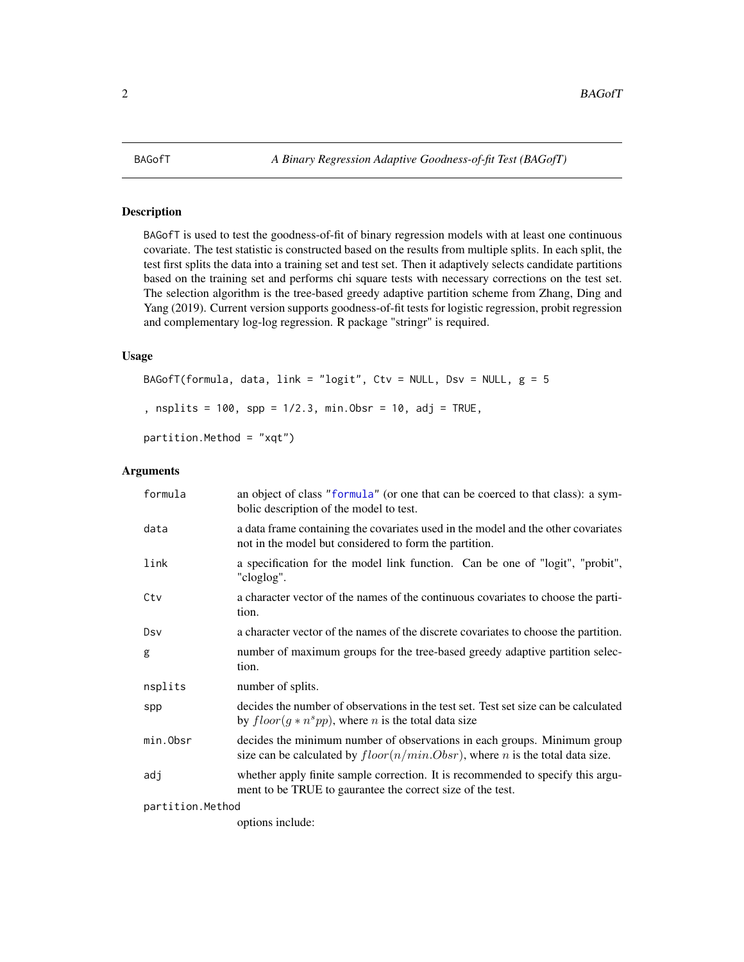<span id="page-1-0"></span>

#### Description

BAGofT is used to test the goodness-of-fit of binary regression models with at least one continuous covariate. The test statistic is constructed based on the results from multiple splits. In each split, the test first splits the data into a training set and test set. Then it adaptively selects candidate partitions based on the training set and performs chi square tests with necessary corrections on the test set. The selection algorithm is the tree-based greedy adaptive partition scheme from Zhang, Ding and Yang (2019). Current version supports goodness-of-fit tests for logistic regression, probit regression and complementary log-log regression. R package "stringr" is required.

#### Usage

```
BAGofT(formula, data, link = "logit", Ctv = NULL, Dsv = NULL, g = 5, nsplits = 100, spp = 1/2.3, min.Obsr = 10, adj = TRUE,
partition.Method = "xqt")
```
#### Arguments

| formula          | an object of class "formula" (or one that can be coerced to that class): a sym-<br>bolic description of the model to test.                                         |
|------------------|--------------------------------------------------------------------------------------------------------------------------------------------------------------------|
| data             | a data frame containing the covariates used in the model and the other covariates<br>not in the model but considered to form the partition.                        |
| link             | a specification for the model link function. Can be one of "logit", "probit",<br>"cloglog".                                                                        |
| Ctv              | a character vector of the names of the continuous covariates to choose the parti-<br>tion.                                                                         |
| Dsv              | a character vector of the names of the discrete covariates to choose the partition.                                                                                |
| g                | number of maximum groups for the tree-based greedy adaptive partition selec-<br>tion.                                                                              |
| nsplits          | number of splits.                                                                                                                                                  |
| spp              | decides the number of observations in the test set. Test set size can be calculated<br>by $floor(g * ns pp)$ , where <i>n</i> is the total data size               |
| min.Obsr         | decides the minimum number of observations in each groups. Minimum group<br>size can be calculated by $floor(n/min.Obsr)$ , where <i>n</i> is the total data size. |
| adj              | whether apply finite sample correction. It is recommended to specify this argu-<br>ment to be TRUE to gaurantee the correct size of the test.                      |
| partition.Method |                                                                                                                                                                    |

options include: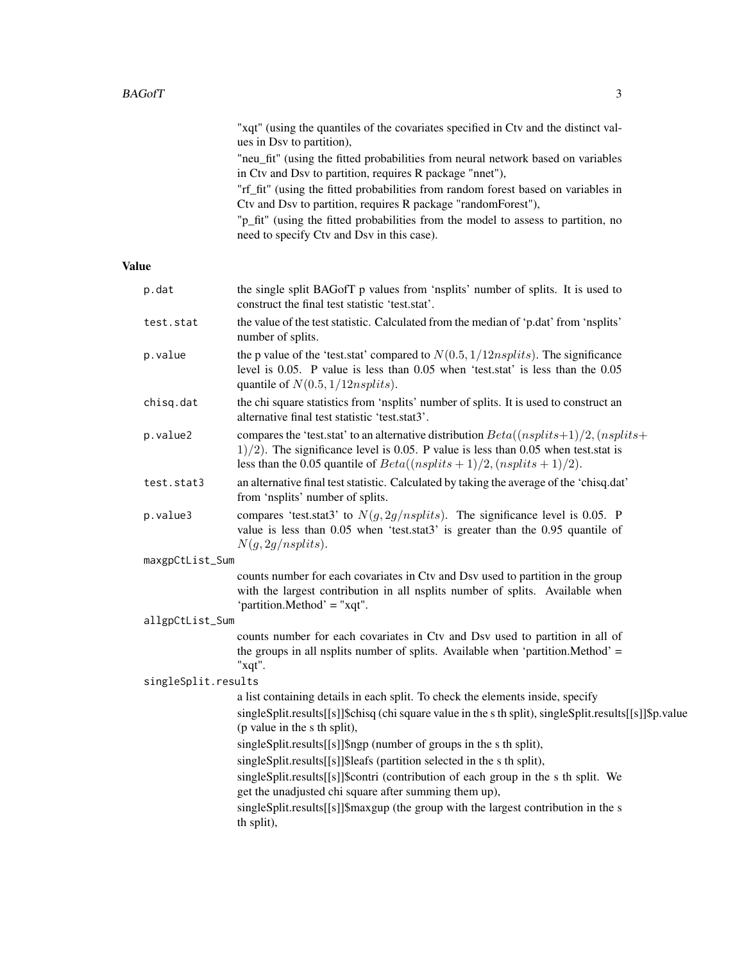"xqt" (using the quantiles of the covariates specified in Ctv and the distinct values in Dsv to partition),

"neu\_fit" (using the fitted probabilities from neural network based on variables in Ctv and Dsv to partition, requires R package "nnet"),

"rf\_fit" (using the fitted probabilities from random forest based on variables in Ctv and Dsv to partition, requires R package "randomForest"),

"p\_fit" (using the fitted probabilities from the model to assess to partition, no need to specify Ctv and Dsv in this case).

#### Value

| p.dat               | the single split BAGofT p values from 'nsplits' number of splits. It is used to<br>construct the final test statistic 'test.stat'.                                                                                                                           |
|---------------------|--------------------------------------------------------------------------------------------------------------------------------------------------------------------------------------------------------------------------------------------------------------|
| test.stat           | the value of the test statistic. Calculated from the median of 'p.dat' from 'nsplits'<br>number of splits.                                                                                                                                                   |
| p.value             | the p value of the 'test.stat' compared to $N(0.5, 1/12nsplits)$ . The significance<br>level is 0.05. P value is less than 0.05 when 'test.stat' is less than the 0.05<br>quantile of $N(0.5, 1/12n splits)$ .                                               |
| chisq.dat           | the chi square statistics from 'nsplits' number of splits. It is used to construct an<br>alternative final test statistic 'test.stat3'.                                                                                                                      |
| p.value2            | compares the 'test.stat' to an alternative distribution $Beta((nsplits+1)/2, (nsplits+$<br>$1/2$ ). The significance level is 0.05. P value is less than 0.05 when test stat is<br>less than the 0.05 quantile of $Beta((nsplits + 1)/2, (nsplits + 1)/2)$ . |
| test.stat3          | an alternative final test statistic. Calculated by taking the average of the 'chisq.dat'<br>from 'nsplits' number of splits.                                                                                                                                 |
| p.value3            | compares 'test.stat3' to $N(g, 2g/nsplits)$ . The significance level is 0.05. P<br>value is less than 0.05 when 'test.stat3' is greater than the 0.95 quantile of<br>N(g, 2g/nsplits).                                                                       |
| maxgpCtList_Sum     |                                                                                                                                                                                                                                                              |
|                     | counts number for each covariates in Ctv and Dsv used to partition in the group<br>with the largest contribution in all nsplits number of splits. Available when<br>'partition.Method' = "xqt".                                                              |
| allgpCtList_Sum     |                                                                                                                                                                                                                                                              |
|                     | counts number for each covariates in Ctv and Dsv used to partition in all of<br>the groups in all nsplits number of splits. Available when 'partition. Method' =<br>"xqt".                                                                                   |
| singleSplit.results |                                                                                                                                                                                                                                                              |
|                     | a list containing details in each split. To check the elements inside, specify                                                                                                                                                                               |
|                     | singleSplit.results[[s]]\$chisq (chi square value in the s th split), singleSplit.results[[s]]\$p.value                                                                                                                                                      |
|                     | (p value in the s th split),                                                                                                                                                                                                                                 |
|                     | singleSplit.results[[s]]\$ngp (number of groups in the s th split),                                                                                                                                                                                          |
|                     | singleSplit.results[[s]]\$leafs (partition selected in the s th split),<br>singleSplit.results[[s]]\$contri (contribution of each group in the s th split. We                                                                                                |
|                     | get the unadjusted chi square after summing them up),                                                                                                                                                                                                        |
|                     | singleSplit.results[[s]]\$maxgup (the group with the largest contribution in the s<br>th split),                                                                                                                                                             |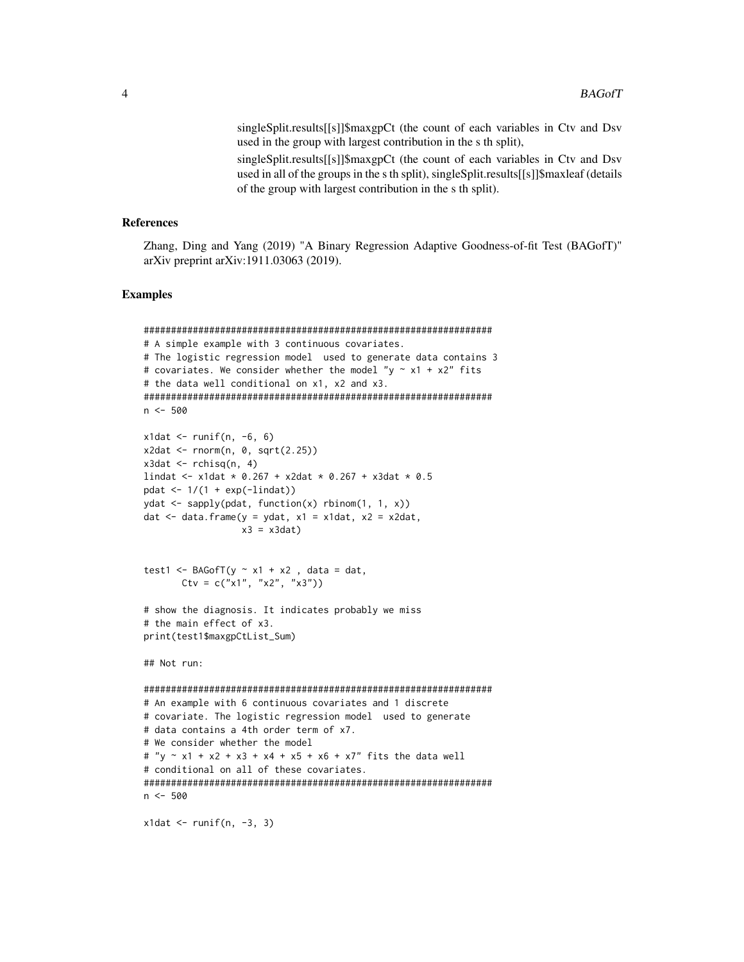singleSplit.results[[s]]\$maxgpCt (the count of each variables in Ctv and Dsv used in the group with largest contribution in the s th split),

singleSplit.results[[s]]\$maxgpCt (the count of each variables in Ctv and Dsv used in all of the groups in the s th split), singleSplit.results[[s]]\$maxleaf (details of the group with largest contribution in the s th split).

#### **References**

Zhang, Ding and Yang (2019) "A Binary Regression Adaptive Goodness-of-fit Test (BAGofT)" arXiv preprint arXiv:1911.03063 (2019).

#### **Examples**

```
# A simple example with 3 continuous covariates.
# The logistic regression model used to generate data contains 3
# covariates. We consider whether the model "y \sim x1 + x2" fits
# the data well conditional on x1, x2 and x3.
n \le -500x1dat <- runif(n, -6, 6)
x2dat \leftarrow rnorm(n, 0, sqrt(2.25))x3dat \leftarrow rchisq(n, 4)lindat <- x1dat * 0.267 + x2dat * 0.267 + x3dat * 0.5
pdat \leftarrow 1/(1 + exp(-lindat))
ydat \leftarrow \text{apply}(pdat, function(x) rhinom(1, 1, x))dat \leq data.frame(y = ydat, x1 = x1dat, x2 = x2dat,
              x3 = x3dat)test1 <- BAGofT(y \sim x1 + x2, data = dat,
     Ctv = c("x1", "x2", "x3"))# show the diagnosis. It indicates probably we miss
# the main effect of x3.
print(test1$maxgpCtList_Sum)
## Not run:
# An example with 6 continuous covariates and 1 discrete
# covariate. The logistic regression model used to generate
# data contains a 4th order term of x7.
# We consider whether the model
# "y ~ x1 + x2 + x3 + x4 + x5 + x6 + x7" fits the data well
# conditional on all of these covariates.
n \le -500
```

```
x1dat \leftarrow runif(n, -3, 3)
```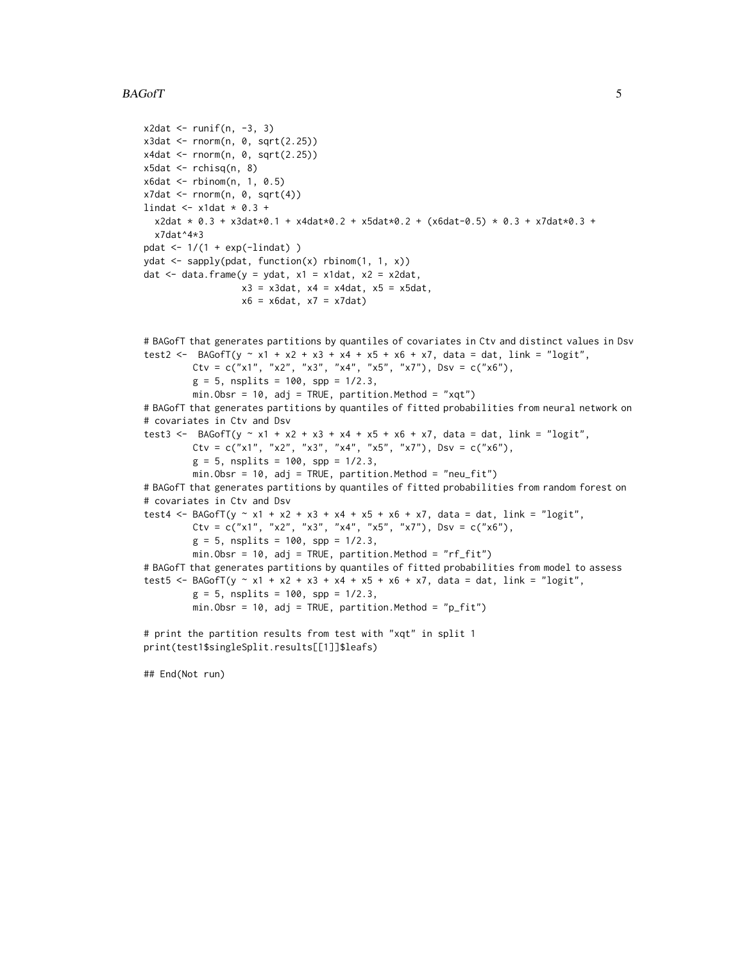#### $BAGofT$  5

```
x2dat \leftarrow runif(n, -3, 3)x3dat < -rnorm(n, 0, sqrt(2.25))x4dat < -rnorm(n, 0, sqrt(2.25))x5dat \leftarrow rchisq(n, 8)
x6dat <- rbinom(n, 1, 0.5)
x7dat \leftarrow rnorm(n, 0, sqrt(4))lindat \le x1dat * 0.3 +
  x2dat * 0.3 + x3dat*0.1 + x4dat*0.2 + x5dat*0.2 + (x6dat-0.5) * 0.3 + x7dat*0.3 +
  x7dat^4*3
pdat \leftarrow 1/(1 + exp(-lindat))
ydat <- sapply(pdat, function(x) rbinom(1, 1, x))
dat <- data.frame(y = ydat, x1 = x1dat, x2 = x2dat,
                  x3 = x3dat, x4 = x4dat, x5 = x5dat,x6 = x6dat, x7 = x7dat)# BAGofT that generates partitions by quantiles of covariates in Ctv and distinct values in Dsv
test2 <- BAGofT(y ~ x1 + x2 + x3 + x4 + x5 + x6 + x7, data = dat, link = "logit",
         Ctv = c("x1", "x2", "x3", "x4", "x5", "x7"), Dsv = c("x6"),
         g = 5, nsplits = 100, spp = 1/2.3,
         min.0bsr = 10, adj = TRUE, partition.Method = "xqt")
# BAGofT that generates partitions by quantiles of fitted probabilities from neural network on
# covariates in Ctv and Dsv
test3 <- BAGofT(y ~ x1 + x2 + x3 + x4 + x5 + x6 + x7, data = dat, link = "logit",
         Ctv = c("x1", "x2", "x3", "x4", "x5", "x7"), Dsv = c("x6"),
         g = 5, nsplits = 100, spp = 1/2.3,
         min.Obsr = 10, adj = TRUE, partition.Method = "neu_fit")
# BAGofT that generates partitions by quantiles of fitted probabilities from random forest on
# covariates in Ctv and Dsv
test4 <- BAGofT(y ~ x1 + x2 + x3 + x4 + x5 + x6 + x7, data = dat, link = "logit",
         Ctv = c("x1", "x2", "x3", "x4", "x5", "x7"), Dsv = c("x6"),
         g = 5, nsplits = 100, spp = 1/2.3,
         min.Obsr = 10, adj = TRUE, partition.Method = "rf_fit")
# BAGofT that generates partitions by quantiles of fitted probabilities from model to assess
test5 <- BAGofT(y ~ x1 + x2 + x3 + x4 + x5 + x6 + x7, data = dat, link = "logit",
         g = 5, nsplits = 100, spp = 1/2.3,
         min.Obsr = 10, adj = TRUE, partition.Method = "p_fit")
# print the partition results from test with "xqt" in split 1
print(test1$singleSplit.results[[1]]$leafs)
```
## End(Not run)